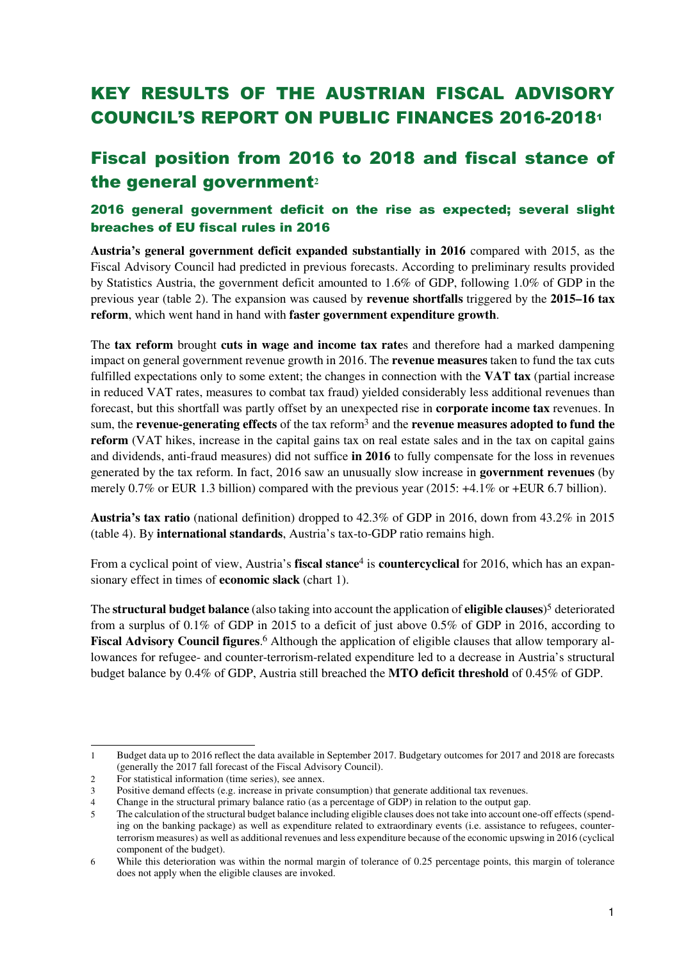# KEY RESULTS OF THE AUSTRIAN FISCAL ADVISORY COUNCIL'S REPORT ON PUBLIC FINANCES 2016-2018<sup>1</sup>

# Fiscal position from 2016 to 2018 and fiscal stance of the general government**<sup>2</sup>**

## 2016 general government deficit on the rise as expected; several slight breaches of EU fiscal rules in 2016

**Austria's general government deficit expanded substantially in 2016** compared with 2015, as the Fiscal Advisory Council had predicted in previous forecasts. According to preliminary results provided by Statistics Austria, the government deficit amounted to 1.6% of GDP, following 1.0% of GDP in the previous year (table 2). The expansion was caused by **revenue shortfalls** triggered by the **2015–16 tax reform**, which went hand in hand with **faster government expenditure growth**.

The **tax reform** brought **cuts in wage and income tax rate**s and therefore had a marked dampening impact on general government revenue growth in 2016. The **revenue measures** taken to fund the tax cuts fulfilled expectations only to some extent; the changes in connection with the **VAT tax** (partial increase in reduced VAT rates, measures to combat tax fraud) yielded considerably less additional revenues than forecast, but this shortfall was partly offset by an unexpected rise in **corporate income tax** revenues. In sum, the **revenue-generating effects** of the tax reform3 and the **revenue measures adopted to fund the reform** (VAT hikes, increase in the capital gains tax on real estate sales and in the tax on capital gains and dividends, anti-fraud measures) did not suffice **in 2016** to fully compensate for the loss in revenues generated by the tax reform. In fact, 2016 saw an unusually slow increase in **government revenues** (by merely 0.7% or EUR 1.3 billion) compared with the previous year (2015: +4.1% or +EUR 6.7 billion).

**Austria's tax ratio** (national definition) dropped to 42.3% of GDP in 2016, down from 43.2% in 2015 (table 4). By **international standards**, Austria's tax-to-GDP ratio remains high.

From a cyclical point of view, Austria's **fiscal stance**4 is **countercyclical** for 2016, which has an expansionary effect in times of **economic slack** (chart 1).

The **structural budget balance** (also taking into account the application of **eligible clauses**) <sup>5</sup> deteriorated from a surplus of 0.1% of GDP in 2015 to a deficit of just above 0.5% of GDP in 2016, according to **Fiscal Advisory Council figures**. 6 Although the application of eligible clauses that allow temporary allowances for refugee- and counter-terrorism-related expenditure led to a decrease in Austria's structural budget balance by 0.4% of GDP, Austria still breached the **MTO deficit threshold** of 0.45% of GDP.

l 1 Budget data up to 2016 reflect the data available in September 2017. Budgetary outcomes for 2017 and 2018 are forecasts (generally the 2017 fall forecast of the Fiscal Advisory Council).

<sup>2</sup> For statistical information (time series), see annex.

<sup>3</sup> Positive demand effects (e.g. increase in private consumption) that generate additional tax revenues.

<sup>4</sup> Change in the structural primary balance ratio (as a percentage of GDP) in relation to the output gap.

<sup>5</sup> The calculation of the structural budget balance including eligible clauses does not take into account one-off effects (spending on the banking package) as well as expenditure related to extraordinary events (i.e. assistance to refugees, counterterrorism measures) as well as additional revenues and less expenditure because of the economic upswing in 2016 (cyclical component of the budget).

<sup>6</sup> While this deterioration was within the normal margin of tolerance of 0.25 percentage points, this margin of tolerance does not apply when the eligible clauses are invoked.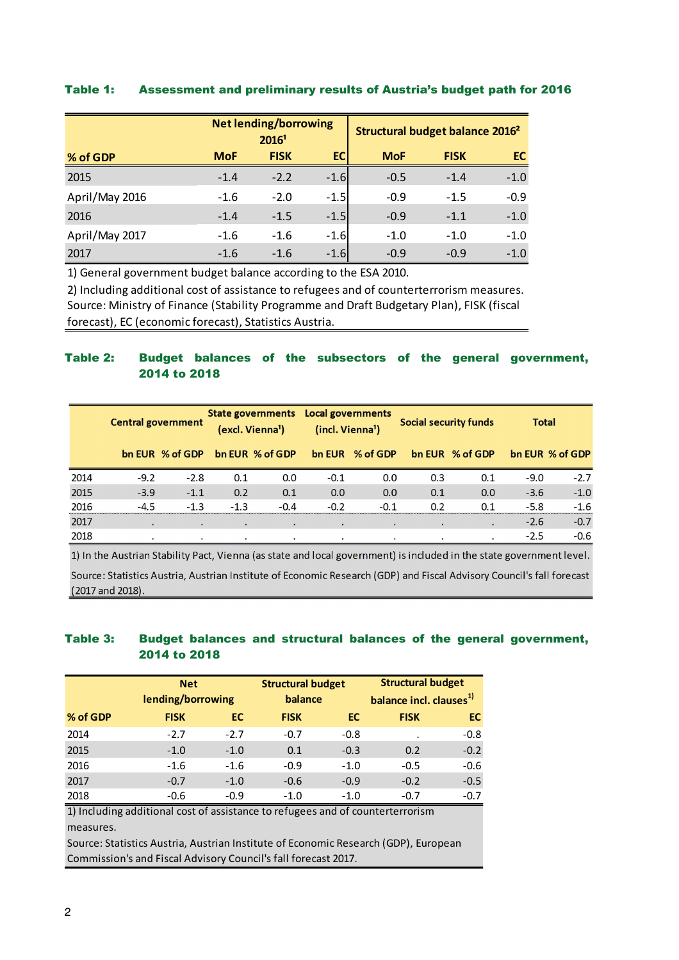#### Table 1: Assessment and preliminary results of Austria's budget path for 2016

|                |            | <b>Net lending/borrowing</b><br>20161 |        |            | Structural budget balance 2016 <sup>2</sup> |        |
|----------------|------------|---------------------------------------|--------|------------|---------------------------------------------|--------|
| % of GDP       | <b>MoF</b> | <b>FISK</b>                           | EC     | <b>MoF</b> | <b>FISK</b>                                 | EC.    |
| 2015           | $-1.4$     | $-2.2$                                | $-1.6$ | $-0.5$     | $-1.4$                                      | $-1.0$ |
| April/May 2016 | $-1.6$     | $-2.0$                                | $-1.5$ | $-0.9$     | $-1.5$                                      | $-0.9$ |
| 2016           | $-1.4$     | $-1.5$                                | $-1.5$ | $-0.9$     | $-1.1$                                      | $-1.0$ |
| April/May 2017 | $-1.6$     | $-1.6$                                | $-1.6$ | $-1.0$     | $-1.0$                                      | $-1.0$ |
| 2017           | $-1.6$     | $-1.6$                                | $-1.6$ | $-0.9$     | $-0.9$                                      | $-1.0$ |

1) General government budget balance according to the ESA 2010.

Source: Ministry of Finance (Stability Programme and Draft Budgetary Plan), FISK (fiscal forecast), EC (economic forecast), Statistics Austria. 2) Including additional cost of assistance to refugees and of counterterrorism measures.

### Table 2: Budget balances of the subsectors of the general government, 2014 to 2018

|      | <b>Central government</b> |                 | State governments Local governments<br>(excl. Vienna <sup>1</sup> ) |                 | (incl. Vienna <sup>1</sup> ) |           | <b>Social security funds</b> |                 | <b>Total</b> |                 |
|------|---------------------------|-----------------|---------------------------------------------------------------------|-----------------|------------------------------|-----------|------------------------------|-----------------|--------------|-----------------|
|      |                           | bn EUR % of GDP |                                                                     | bn EUR % of GDP | bn EUR                       | % of GDP  |                              | bn EUR % of GDP |              | bn EUR % of GDP |
| 2014 | $-9.2$                    | $-2.8$          | 0.1                                                                 | 0.0             | $-0.1$                       | 0.0       | 0.3                          | 0.1             | $-9.0$       | $-2.7$          |
| 2015 | $-3.9$                    | $-1.1$          | 0.2                                                                 | 0.1             | 0.0                          | 0.0       | 0.1                          | 0.0             | $-3.6$       | $-1.0$          |
| 2016 | $-4.5$                    | $-1.3$          | $-1.3$                                                              | $-0.4$          | $-0.2$                       | $-0.1$    | 0.2                          | 0.1             | $-5.8$       | $-1.6$          |
| 2017 | ٠                         | $\bullet$       | $\bullet$                                                           | $\bullet$       | $\bullet$                    | $\bullet$ | $\cdot$                      | $\bullet$       | $-2.6$       | $-0.7$          |
| 2018 | $\cdot$                   | ۰.              | $\cdot$                                                             | ٠               | $\cdot$                      | ٠         | $\cdot$                      | ٠               | $-2.5$       | $-0.6$          |

1) In the Austrian Stability Pact, Vienna (as state and local government) is included in the state government level. Source: Statistics Austria, Austrian Institute of Economic Research (GDP) and Fiscal Advisory Council's fall forecast (2017 and 2018).

#### Table 3: Budget balances and structural balances of the general government, 2014 to 2018

|          | <b>Net</b>        |        | <b>Structural budget</b> |           | <b>Structural budget</b>            |           |  |  |
|----------|-------------------|--------|--------------------------|-----------|-------------------------------------|-----------|--|--|
|          | lending/borrowing |        | balance                  |           | balance incl. clauses <sup>1)</sup> |           |  |  |
| % of GDP | <b>FISK</b>       | ЕC     | <b>FISK</b>              | <b>EC</b> | <b>FISK</b>                         | <b>EC</b> |  |  |
| 2014     | $-2.7$            | $-2.7$ | $-0.7$                   | $-0.8$    |                                     | $-0.8$    |  |  |
| 2015     | $-1.0$            | $-1.0$ | 0.1                      | $-0.3$    | 0.2                                 | $-0.2$    |  |  |
| 2016     | $-1.6$            | $-1.6$ | $-0.9$                   | $-1.0$    | $-0.5$                              | $-0.6$    |  |  |
| 2017     | $-0.7$            | $-1.0$ | $-0.6$                   | $-0.9$    | $-0.2$                              | $-0.5$    |  |  |
| 2018     | $-0.6$            | $-0.9$ | $-1.0$                   | $-1.0$    | $-0.7$                              | $-0.7$    |  |  |

1) Including additional cost of assistance to refugees and of counterterrorism measures.

Source: Statistics Austria, Austrian Institute of Economic Research (GDP), European Commission's and Fiscal Advisory Council's fall forecast 2017.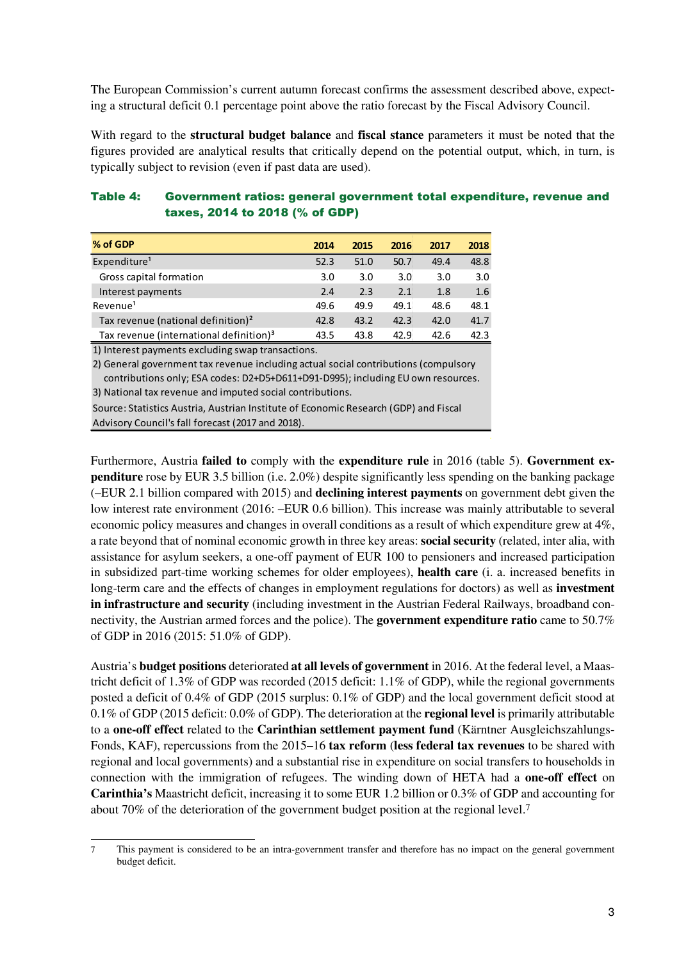The European Commission's current autumn forecast confirms the assessment described above, expecting a structural deficit 0.1 percentage point above the ratio forecast by the Fiscal Advisory Council.

With regard to the **structural budget balance** and **fiscal stance** parameters it must be noted that the figures provided are analytical results that critically depend on the potential output, which, in turn, is typically subject to revision (even if past data are used).

### Table 4: Government ratios: general government total expenditure, revenue and taxes, 2014 to 2018 (% of GDP)

| % of GDP                                            | 2014 | 2015 | 2016 | 2017 | 2018 |
|-----------------------------------------------------|------|------|------|------|------|
| Expenditure <sup>1</sup>                            | 52.3 | 51.0 | 50.7 | 49.4 | 48.8 |
| Gross capital formation                             | 3.0  | 3.0  | 3.0  | 3.0  | 3.0  |
| Interest payments                                   | 2.4  | 2.3  | 2.1  | 1.8  | 1.6  |
| Revenue <sup>1</sup>                                | 49.6 | 49.9 | 49.1 | 48.6 | 48.1 |
| Tax revenue (national definition) <sup>2</sup>      | 42.8 | 43.2 | 42.3 | 42.0 | 41.7 |
| Tax revenue (international definition) <sup>3</sup> | 43.5 | 43.8 | 42.9 | 42.6 | 42.3 |

1) Interest payments excluding swap transactions.

 $\overline{a}$ 

3) National tax revenue and imputed social contributions. 2) General government tax revenue including actual social contributions (compulsory contributions only; ESA codes: D2+D5+D611+D91-D995); including EU own resources.

Source: Statistics Austria, Austrian Institute of Economic Research (GDP) and Fiscal Advisory Council's fall forecast (2017 and 2018).

Furthermore, Austria **failed to** comply with the **expenditure rule** in 2016 (table 5). **Government expenditure** rose by EUR 3.5 billion (i.e. 2.0%) despite significantly less spending on the banking package (–EUR 2.1 billion compared with 2015) and **declining interest payments** on government debt given the low interest rate environment (2016: –EUR 0.6 billion). This increase was mainly attributable to several economic policy measures and changes in overall conditions as a result of which expenditure grew at 4%, a rate beyond that of nominal economic growth in three key areas: **social security** (related, inter alia, with assistance for asylum seekers, a one-off payment of EUR 100 to pensioners and increased participation in subsidized part-time working schemes for older employees), **health care** (i. a. increased benefits in long-term care and the effects of changes in employment regulations for doctors) as well as **investment in infrastructure and security** (including investment in the Austrian Federal Railways, broadband connectivity, the Austrian armed forces and the police). The **government expenditure ratio** came to 50.7% of GDP in 2016 (2015: 51.0% of GDP).

Austria's **budget positions** deteriorated **at all levels of government** in 2016. At the federal level, a Maastricht deficit of 1.3% of GDP was recorded (2015 deficit: 1.1% of GDP), while the regional governments posted a deficit of 0.4% of GDP (2015 surplus: 0.1% of GDP) and the local government deficit stood at 0.1% of GDP (2015 deficit: 0.0% of GDP). The deterioration at the **regional level** is primarily attributable to a **one-off effect** related to the **Carinthian settlement payment fund** (Kärntner Ausgleichszahlungs-Fonds, KAF), repercussions from the 2015–16 **tax reform** (**less federal tax revenues** to be shared with regional and local governments) and a substantial rise in expenditure on social transfers to households in connection with the immigration of refugees. The winding down of HETA had a **one-off effect** on **Carinthia's** Maastricht deficit, increasing it to some EUR 1.2 billion or 0.3% of GDP and accounting for about 70% of the deterioration of the government budget position at the regional level.<sup>7</sup>

<sup>7</sup> This payment is considered to be an intra-government transfer and therefore has no impact on the general government budget deficit.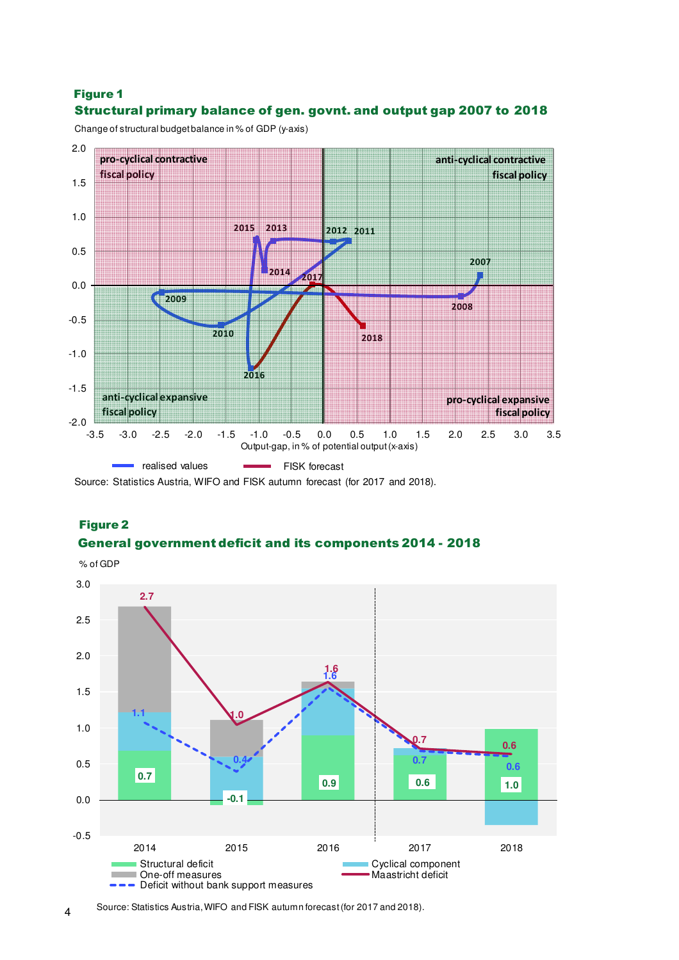## Structural primary balance of gen. govnt. and output gap 2007 to 2018 Figure 1

Change of structural budget balance in % of GDP (y-axis)



Source: Statistics Austria, WIFO and FISK autumn forecast (for 2017 and 2018).

## General government deficit and its components 2014 - 2018 Figure 2



4 Source: Statistics Austria, WIFO and FISK autumn forecast (for 2017 and 2018).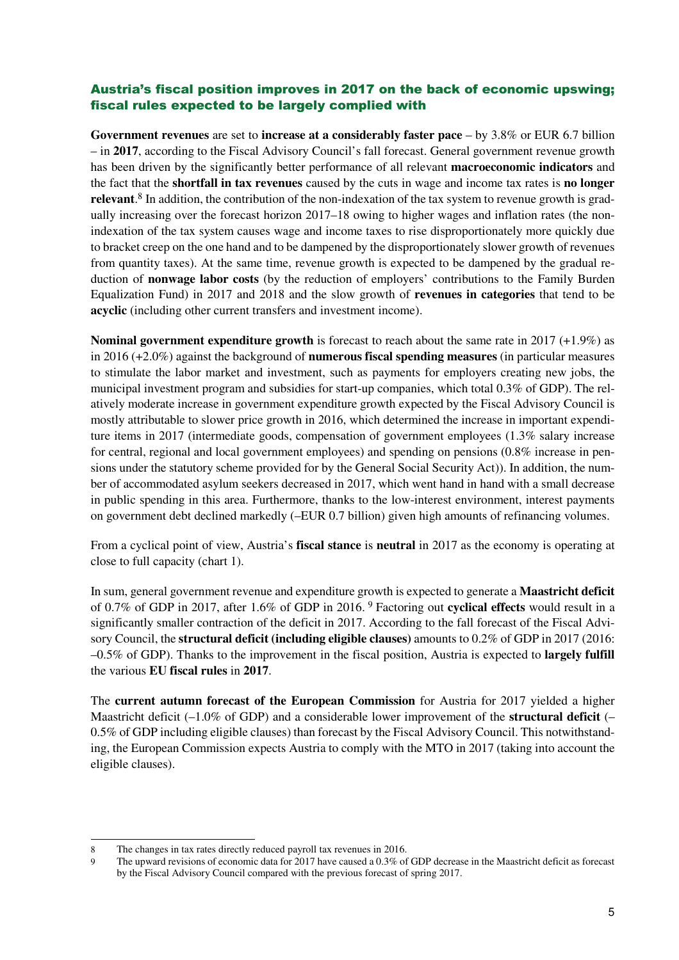## Austria's fiscal position improves in 2017 on the back of economic upswing; fiscal rules expected to be largely complied with

**Government revenues** are set to **increase at a considerably faster pace** – by 3.8% or EUR 6.7 billion – in **2017**, according to the Fiscal Advisory Council's fall forecast. General government revenue growth has been driven by the significantly better performance of all relevant **macroeconomic indicators** and the fact that the **shortfall in tax revenues** caused by the cuts in wage and income tax rates is **no longer relevant**. 8 In addition, the contribution of the non-indexation of the tax system to revenue growth is gradually increasing over the forecast horizon 2017–18 owing to higher wages and inflation rates (the nonindexation of the tax system causes wage and income taxes to rise disproportionately more quickly due to bracket creep on the one hand and to be dampened by the disproportionately slower growth of revenues from quantity taxes). At the same time, revenue growth is expected to be dampened by the gradual reduction of **nonwage labor costs** (by the reduction of employers' contributions to the Family Burden Equalization Fund) in 2017 and 2018 and the slow growth of **revenues in categories** that tend to be **acyclic** (including other current transfers and investment income).

**Nominal government expenditure growth** is forecast to reach about the same rate in 2017 (+1.9%) as in 2016 (+2.0%) against the background of **numerous fiscal spending measures** (in particular measures to stimulate the labor market and investment, such as payments for employers creating new jobs, the municipal investment program and subsidies for start-up companies, which total 0.3% of GDP). The relatively moderate increase in government expenditure growth expected by the Fiscal Advisory Council is mostly attributable to slower price growth in 2016, which determined the increase in important expenditure items in 2017 (intermediate goods, compensation of government employees (1.3% salary increase for central, regional and local government employees) and spending on pensions (0.8% increase in pensions under the statutory scheme provided for by the General Social Security Act)). In addition, the number of accommodated asylum seekers decreased in 2017, which went hand in hand with a small decrease in public spending in this area. Furthermore, thanks to the low-interest environment, interest payments on government debt declined markedly (–EUR 0.7 billion) given high amounts of refinancing volumes.

From a cyclical point of view, Austria's **fiscal stance** is **neutral** in 2017 as the economy is operating at close to full capacity (chart 1).

In sum, general government revenue and expenditure growth is expected to generate a **Maastricht deficit** of 0.7% of GDP in 2017, after 1.6% of GDP in 2016. 9 Factoring out **cyclical effects** would result in a significantly smaller contraction of the deficit in 2017. According to the fall forecast of the Fiscal Advisory Council, the **structural deficit (including eligible clauses)** amounts to 0.2% of GDP in 2017 (2016: –0.5% of GDP). Thanks to the improvement in the fiscal position, Austria is expected to **largely fulfill** the various **EU fiscal rules** in **2017**.

The **current autumn forecast of the European Commission** for Austria for 2017 yielded a higher Maastricht deficit (–1.0% of GDP) and a considerable lower improvement of the **structural deficit** (– 0.5% of GDP including eligible clauses) than forecast by the Fiscal Advisory Council. This notwithstanding, the European Commission expects Austria to comply with the MTO in 2017 (taking into account the eligible clauses).

 $\overline{a}$ 

<sup>8</sup> The changes in tax rates directly reduced payroll tax revenues in 2016.

<sup>9</sup> The upward revisions of economic data for 2017 have caused a 0.3% of GDP decrease in the Maastricht deficit as forecast by the Fiscal Advisory Council compared with the previous forecast of spring 2017.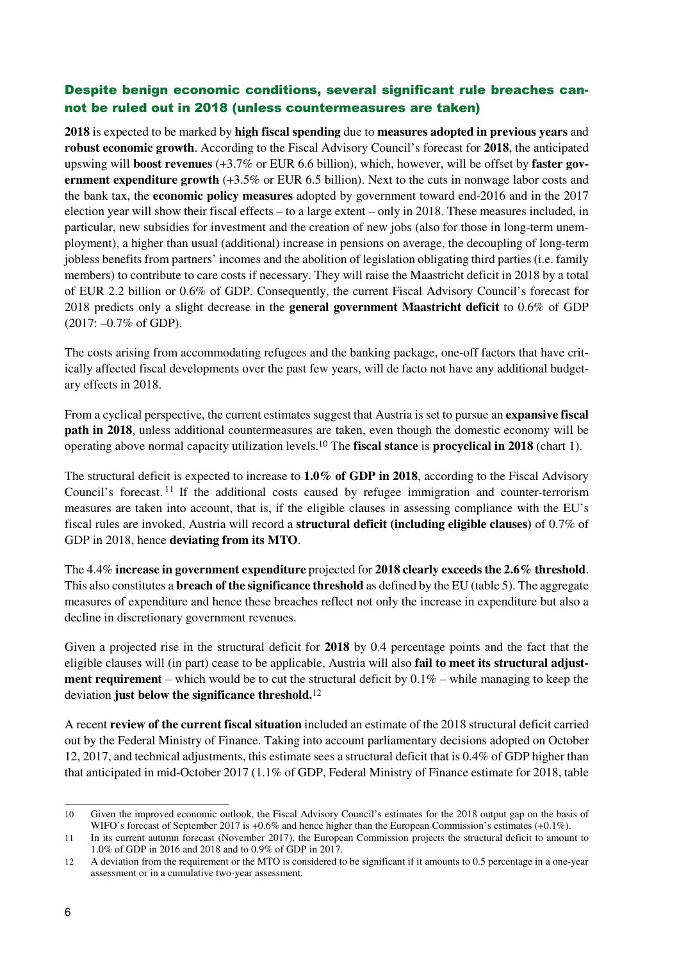## Despite benign economic conditions, several significant rule breaches cannot be ruled out in 2018 (unless countermeasures are taken)

**2018** is expected to be marked by **high fiscal spending** due to **measures adopted in previous years** and **robust economic growth**. According to the Fiscal Advisory Council's forecast for **2018**, the anticipated upswing will **boost revenues** (+3.7% or EUR 6.6 billion), which, however, will be offset by **faster government expenditure growth** (+3.5% or EUR 6.5 billion). Next to the cuts in nonwage labor costs and the bank tax, the **economic policy measures** adopted by government toward end-2016 and in the 2017 election year will show their fiscal effects – to a large extent – only in 2018. These measures included, in particular, new subsidies for investment and the creation of new jobs (also for those in long-term unemployment), a higher than usual (additional) increase in pensions on average, the decoupling of long-term jobless benefits from partners' incomes and the abolition of legislation obligating third parties (i.e. family members) to contribute to care costs if necessary. They will raise the Maastricht deficit in 2018 by a total of EUR 2.2 billion or 0.6% of GDP. Consequently, the current Fiscal Advisory Council's forecast for 2018 predicts only a slight decrease in the **general government Maastricht deficit** to 0.6% of GDP (2017: –0.7% of GDP).

The costs arising from accommodating refugees and the banking package, one-off factors that have critically affected fiscal developments over the past few years, will de facto not have any additional budgetary effects in 2018.

From a cyclical perspective, the current estimates suggest that Austria is set to pursue an **expansive fiscal path in 2018**, unless additional countermeasures are taken, even though the domestic economy will be operating above normal capacity utilization levels.10 The **fiscal stance** is **procyclical in 2018** (chart 1).

The structural deficit is expected to increase to **1.0% of GDP in 2018**, according to the Fiscal Advisory Council's forecast. <sup>11</sup> If the additional costs caused by refugee immigration and counter-terrorism measures are taken into account, that is, if the eligible clauses in assessing compliance with the EU's fiscal rules are invoked, Austria will record a **structural deficit (including eligible clauses)** of 0.7% of GDP in 2018, hence **deviating from its MTO**.

The 4.4% **increase in government expenditure** projected for **2018 clearly exceeds the 2.6% threshold**. This also constitutes a **breach of the significance threshold** as defined by the EU (table 5). The aggregate measures of expenditure and hence these breaches reflect not only the increase in expenditure but also a decline in discretionary government revenues.

Given a projected rise in the structural deficit for **2018** by 0.4 percentage points and the fact that the eligible clauses will (in part) cease to be applicable, Austria will also **fail to meet its structural adjustment requirement** – which would be to cut the structural deficit by  $0.1\%$  – while managing to keep the deviation **just below the significance threshold.**<sup>12</sup>

A recent **review of the current fiscal situation** included an estimate of the 2018 structural deficit carried out by the Federal Ministry of Finance. Taking into account parliamentary decisions adopted on October 12, 2017, and technical adjustments, this estimate sees a structural deficit that is 0.4% of GDP higher than that anticipated in mid-October 2017 (1.1% of GDP, Federal Ministry of Finance estimate for 2018, table

 $\overline{a}$ 10 Given the improved economic outlook, the Fiscal Advisory Council's estimates for the 2018 output gap on the basis of WIFO's forecast of September 2017 is +0.6% and hence higher than the European Commission's estimates (+0.1%).

<sup>11</sup> In its current autumn forecast (November 2017), the European Commission projects the structural deficit to amount to 1.0% of GDP in 2016 and 2018 and to 0.9% of GDP in 2017.

<sup>12</sup> A deviation from the requirement or the MTO is considered to be significant if it amounts to 0.5 percentage in a one-year assessment or in a cumulative two-year assessment.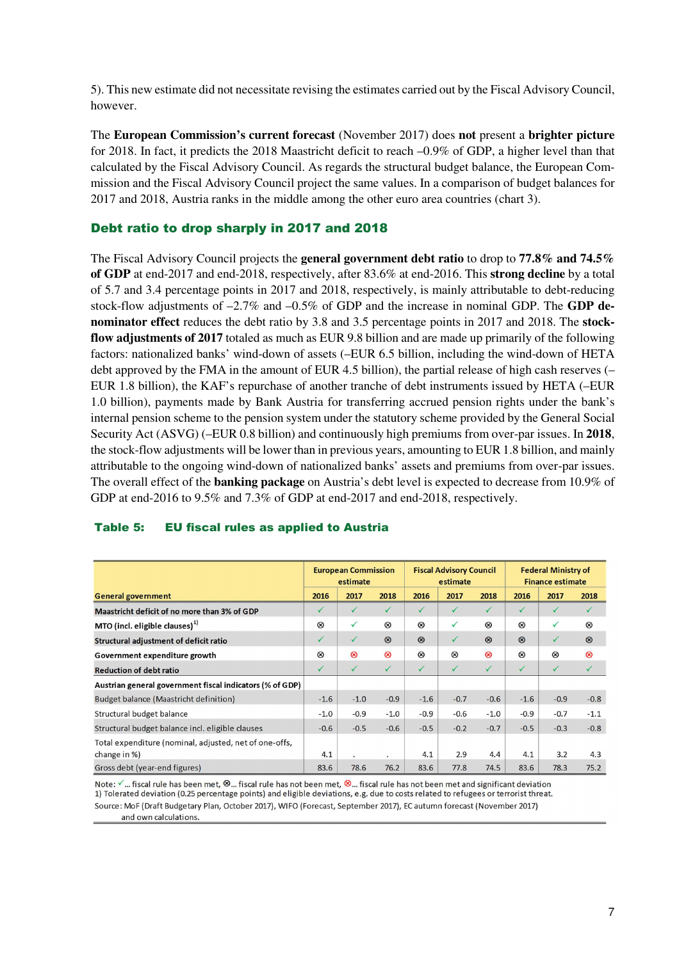5). This new estimate did not necessitate revising the estimates carried out by the Fiscal Advisory Council, however.

The **European Commission's current forecast** (November 2017) does **not** present a **brighter picture**  for 2018. In fact, it predicts the 2018 Maastricht deficit to reach –0.9% of GDP, a higher level than that calculated by the Fiscal Advisory Council. As regards the structural budget balance, the European Commission and the Fiscal Advisory Council project the same values. In a comparison of budget balances for 2017 and 2018, Austria ranks in the middle among the other euro area countries (chart 3).

### Debt ratio to drop sharply in 2017 and 2018

The Fiscal Advisory Council projects the **general government debt ratio** to drop to **77.8% and 74.5% of GDP** at end-2017 and end-2018, respectively, after 83.6% at end-2016. This **strong decline** by a total of 5.7 and 3.4 percentage points in 2017 and 2018, respectively, is mainly attributable to debt-reducing stock-flow adjustments of –2.7% and –0.5% of GDP and the increase in nominal GDP. The **GDP denominator effect** reduces the debt ratio by 3.8 and 3.5 percentage points in 2017 and 2018. The **stockflow adjustments of 2017** totaled as much as EUR 9.8 billion and are made up primarily of the following factors: nationalized banks' wind-down of assets (–EUR 6.5 billion, including the wind-down of HETA debt approved by the FMA in the amount of EUR 4.5 billion), the partial release of high cash reserves (– EUR 1.8 billion), the KAF's repurchase of another tranche of debt instruments issued by HETA (–EUR 1.0 billion), payments made by Bank Austria for transferring accrued pension rights under the bank's internal pension scheme to the pension system under the statutory scheme provided by the General Social Security Act (ASVG) (–EUR 0.8 billion) and continuously high premiums from over-par issues. In **2018**, the stock-flow adjustments will be lower than in previous years, amounting to EUR 1.8 billion, and mainly attributable to the ongoing wind-down of nationalized banks' assets and premiums from over-par issues. The overall effect of the **banking package** on Austria's debt level is expected to decrease from 10.9% of GDP at end-2016 to 9.5% and 7.3% of GDP at end-2017 and end-2018, respectively.

|                                                                        | <b>European Commission</b><br>estimate |              |                | <b>Fiscal Advisory Council</b><br>estimate |                |              | <b>Federal Ministry of</b><br><b>Finance estimate</b> |                |                |
|------------------------------------------------------------------------|----------------------------------------|--------------|----------------|--------------------------------------------|----------------|--------------|-------------------------------------------------------|----------------|----------------|
| <b>General government</b>                                              | 2016                                   | 2017         | 2018           | 2016                                       | 2017           | 2018         | 2016                                                  | 2017           | 2018           |
| Maastricht deficit of no more than 3% of GDP                           | ✓                                      | ✓            | $\checkmark$   | $\checkmark$                               | $\checkmark$   | $\sqrt{}$    | ✓                                                     | $\checkmark$   | $\checkmark$   |
| MTO (incl. eligible clauses) $1$                                       | ⊗                                      | $\checkmark$ | ⊗              | ⊗                                          | $\checkmark$   | $^{\circ}$   | ⊗                                                     | $\checkmark$   | $^{\circledR}$ |
| Structural adjustment of deficit ratio                                 | ✓                                      | $\checkmark$ | $\circledR$    | $\circledR$                                | $\checkmark$   | $\circledR$  | $\circledR$                                           | ✓              | $\circledcirc$ |
| Government expenditure growth                                          | $^{\circledR}$                         | ⊗            | $^{\circledR}$ | $^{\circledR}$                             | $^{\circledR}$ | $\otimes$    | $^{\circ}$                                            | $^{\circledR}$ | $^{\circ}$     |
| <b>Reduction of debt ratio</b>                                         | $\checkmark$                           | $\checkmark$ | $\checkmark$   | ✓                                          | $\checkmark$   | $\checkmark$ | ✓                                                     | $\checkmark$   | ✓              |
| Austrian general government fiscal indicators (% of GDP)               |                                        |              |                |                                            |                |              |                                                       |                |                |
| Budget balance (Maastricht definition)                                 | $-1.6$                                 | $-1.0$       | $-0.9$         | $-1.6$                                     | $-0.7$         | $-0.6$       | $-1.6$                                                | $-0.9$         | $-0.8$         |
| Structural budget balance                                              | $-1.0$                                 | $-0.9$       | $-1.0$         | $-0.9$                                     | $-0.6$         | $-1.0$       | $-0.9$                                                | $-0.7$         | $-1.1$         |
| Structural budget balance incl. eligible clauses                       | $-0.6$                                 | $-0.5$       | $-0.6$         | $-0.5$                                     | $-0.2$         | $-0.7$       | $-0.5$                                                | $-0.3$         | $-0.8$         |
| Total expenditure (nominal, adjusted, net of one-offs,<br>change in %) | 4.1                                    |              |                | 4.1                                        | 2.9            | 4.4          | 4.1                                                   | 3.2            | 4.3            |
| Gross debt (year-end figures)                                          | 83.6                                   | 78.6         | 76.2           | 83.6                                       | 77.8           | 74.5         | 83.6                                                  | 78.3           | 75.2           |

#### Table 5: EU fiscal rules as applied to Austria

Note: √... fiscal rule has been met, <sup>®</sup>... fiscal rule has not been met, <sup>®</sup>... fiscal rule has not been met and significant deviation 1) Tolerated deviation (0.25 percentage points) and eligible deviations, e.g. due to costs related to refugees or terrorist threat. Source: MoF (Draft Budgetary Plan, October 2017), WIFO (Forecast, September 2017), EC autumn forecast (November 2017) and own calculations.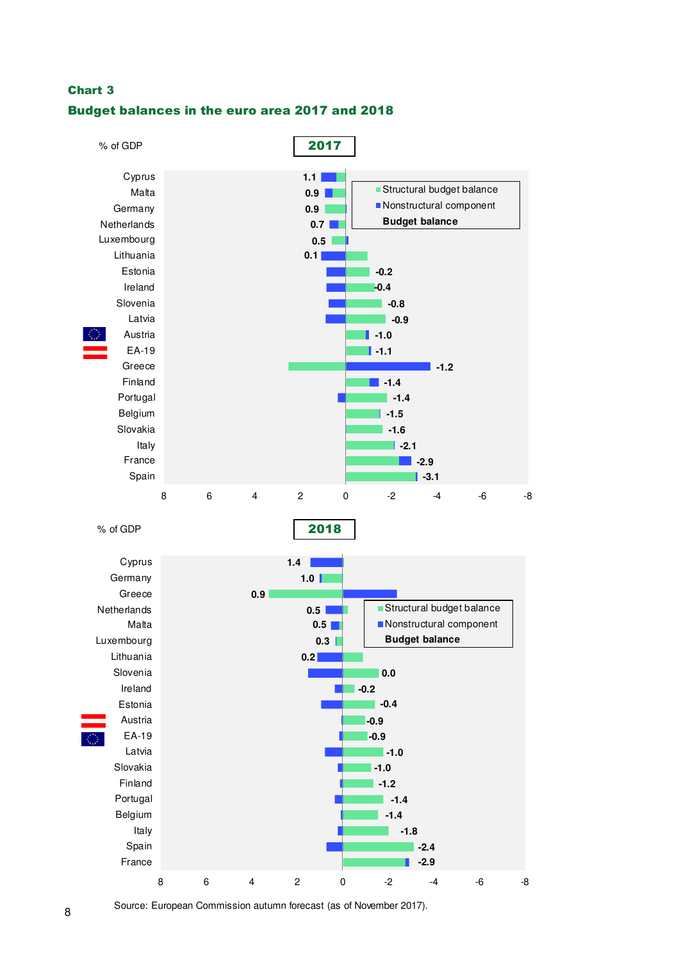## Chart 3 Budget balances in the euro area 2017 and 2018



Source: European Commission autumn forecast (as of November 2017).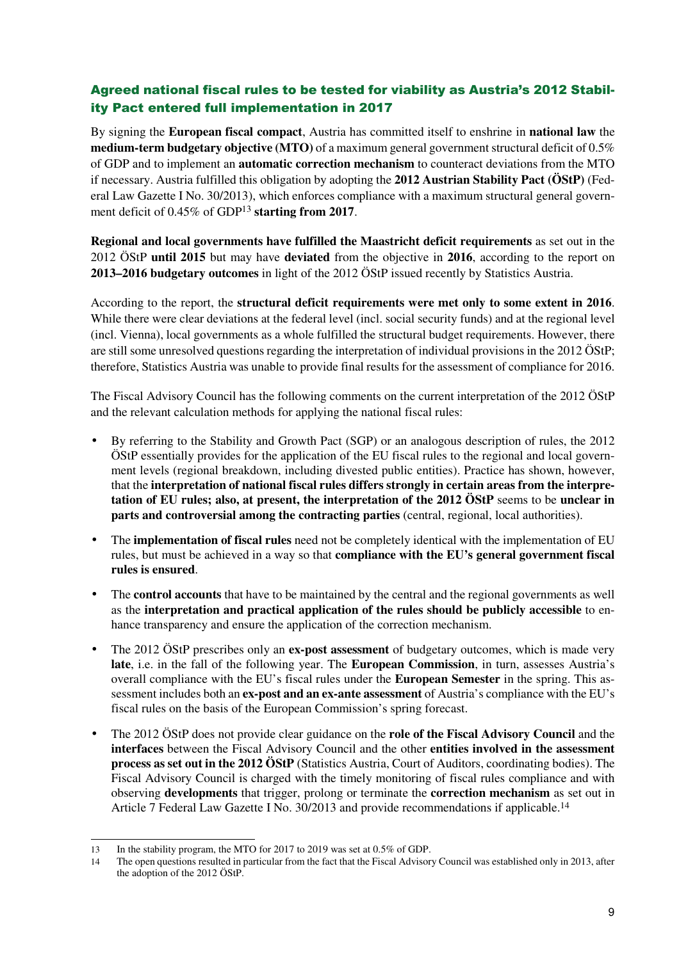## Agreed national fiscal rules to be tested for viability as Austria's 2012 Stability Pact entered full implementation in 2017

By signing the **European fiscal compact**, Austria has committed itself to enshrine in **national law** the **medium-term budgetary objective (MTO)** of a maximum general government structural deficit of 0.5% of GDP and to implement an **automatic correction mechanism** to counteract deviations from the MTO if necessary. Austria fulfilled this obligation by adopting the **2012 Austrian Stability Pact (ÖStP)** (Federal Law Gazette I No. 30/2013), which enforces compliance with a maximum structural general government deficit of 0.45% of GDP<sup>13</sup> **starting from 2017**.

**Regional and local governments have fulfilled the Maastricht deficit requirements** as set out in the 2012 ÖStP **until 2015** but may have **deviated** from the objective in **2016**, according to the report on **2013–2016 budgetary outcomes** in light of the 2012 ÖStP issued recently by Statistics Austria.

According to the report, the **structural deficit requirements were met only to some extent in 2016**. While there were clear deviations at the federal level (incl. social security funds) and at the regional level (incl. Vienna), local governments as a whole fulfilled the structural budget requirements. However, there are still some unresolved questions regarding the interpretation of individual provisions in the 2012 ÖStP; therefore, Statistics Austria was unable to provide final results for the assessment of compliance for 2016.

The Fiscal Advisory Council has the following comments on the current interpretation of the 2012 ÖStP and the relevant calculation methods for applying the national fiscal rules:

- By referring to the Stability and Growth Pact (SGP) or an analogous description of rules, the 2012 ÖStP essentially provides for the application of the EU fiscal rules to the regional and local government levels (regional breakdown, including divested public entities). Practice has shown, however, that the **interpretation of national fiscal rules differs strongly in certain areas from the interpretation of EU rules; also, at present, the interpretation of the 2012 ÖStP** seems to be **unclear in parts and controversial among the contracting parties** (central, regional, local authorities).
- The **implementation of fiscal rules** need not be completely identical with the implementation of EU rules, but must be achieved in a way so that **compliance with the EU's general government fiscal rules is ensured**.
- The **control accounts** that have to be maintained by the central and the regional governments as well as the **interpretation and practical application of the rules should be publicly accessible** to enhance transparency and ensure the application of the correction mechanism.
- The 2012 ÖStP prescribes only an **ex-post assessment** of budgetary outcomes, which is made very **late**, i.e. in the fall of the following year. The **European Commission**, in turn, assesses Austria's overall compliance with the EU's fiscal rules under the **European Semester** in the spring. This assessment includes both an **ex-post and an ex-ante assessment** of Austria's compliance with the EU's fiscal rules on the basis of the European Commission's spring forecast.
- The 2012 ÖStP does not provide clear guidance on the **role of the Fiscal Advisory Council** and the **interfaces** between the Fiscal Advisory Council and the other **entities involved in the assessment process as set out in the 2012 ÖStP** (Statistics Austria, Court of Auditors, coordinating bodies). The Fiscal Advisory Council is charged with the timely monitoring of fiscal rules compliance and with observing **developments** that trigger, prolong or terminate the **correction mechanism** as set out in Article 7 Federal Law Gazette I No. 30/2013 and provide recommendations if applicable.<sup>14</sup>

 $\overline{a}$ 

<sup>13</sup> In the stability program, the MTO for 2017 to 2019 was set at 0.5% of GDP.

<sup>14</sup> The open questions resulted in particular from the fact that the Fiscal Advisory Council was established only in 2013, after the adoption of the 2012 ÖStP.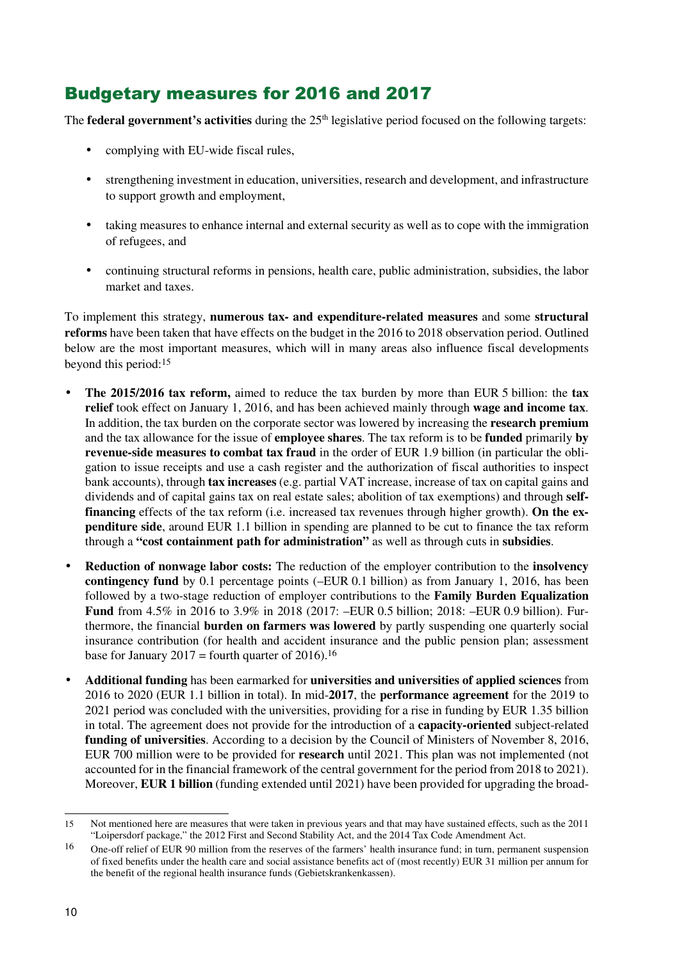# Budgetary measures for 2016 and 2017

The **federal government's activities** during the 25<sup>th</sup> legislative period focused on the following targets:

- complying with EU-wide fiscal rules,
- strengthening investment in education, universities, research and development, and infrastructure to support growth and employment,
- taking measures to enhance internal and external security as well as to cope with the immigration of refugees, and
- continuing structural reforms in pensions, health care, public administration, subsidies, the labor market and taxes.

To implement this strategy, **numerous tax- and expenditure-related measures** and some **structural reforms** have been taken that have effects on the budget in the 2016 to 2018 observation period. Outlined below are the most important measures, which will in many areas also influence fiscal developments beyond this period:<sup>15</sup>

- **The 2015/2016 tax reform,** aimed to reduce the tax burden by more than EUR 5 billion: the **tax relief** took effect on January 1, 2016, and has been achieved mainly through **wage and income tax**. In addition, the tax burden on the corporate sector was lowered by increasing the **research premium**  and the tax allowance for the issue of **employee shares**. The tax reform is to be **funded** primarily **by revenue-side measures to combat tax fraud** in the order of EUR 1.9 billion (in particular the obligation to issue receipts and use a cash register and the authorization of fiscal authorities to inspect bank accounts), through **tax increases** (e.g. partial VAT increase, increase of tax on capital gains and dividends and of capital gains tax on real estate sales; abolition of tax exemptions) and through **selffinancing** effects of the tax reform (i.e. increased tax revenues through higher growth). **On the expenditure side**, around EUR 1.1 billion in spending are planned to be cut to finance the tax reform through a **"cost containment path for administration"** as well as through cuts in **subsidies**.
- **Reduction of nonwage labor costs:** The reduction of the employer contribution to the **insolvency contingency fund** by 0.1 percentage points (–EUR 0.1 billion) as from January 1, 2016, has been followed by a two-stage reduction of employer contributions to the **Family Burden Equalization Fund** from 4.5% in 2016 to 3.9% in 2018 (2017: –EUR 0.5 billion; 2018: –EUR 0.9 billion). Furthermore, the financial **burden on farmers was lowered** by partly suspending one quarterly social insurance contribution (for health and accident insurance and the public pension plan; assessment base for January 2017 = fourth quarter of 2016).<sup>16</sup>
- **Additional funding** has been earmarked for **universities and universities of applied sciences** from 2016 to 2020 (EUR 1.1 billion in total). In mid-**2017**, the **performance agreement** for the 2019 to 2021 period was concluded with the universities, providing for a rise in funding by EUR 1.35 billion in total. The agreement does not provide for the introduction of a **capacity-oriented** subject-related **funding of universities**. According to a decision by the Council of Ministers of November 8, 2016, EUR 700 million were to be provided for **research** until 2021. This plan was not implemented (not accounted for in the financial framework of the central government for the period from 2018 to 2021). Moreover, **EUR 1 billion** (funding extended until 2021) have been provided for upgrading the broad-

 $\overline{a}$ 15 Not mentioned here are measures that were taken in previous years and that may have sustained effects, such as the 2011 "Loipersdorf package," the 2012 First and Second Stability Act, and the 2014 Tax Code Amendment Act.

<sup>16</sup> One-off relief of EUR 90 million from the reserves of the farmers' health insurance fund; in turn, permanent suspension of fixed benefits under the health care and social assistance benefits act of (most recently) EUR 31 million per annum for the benefit of the regional health insurance funds (Gebietskrankenkassen).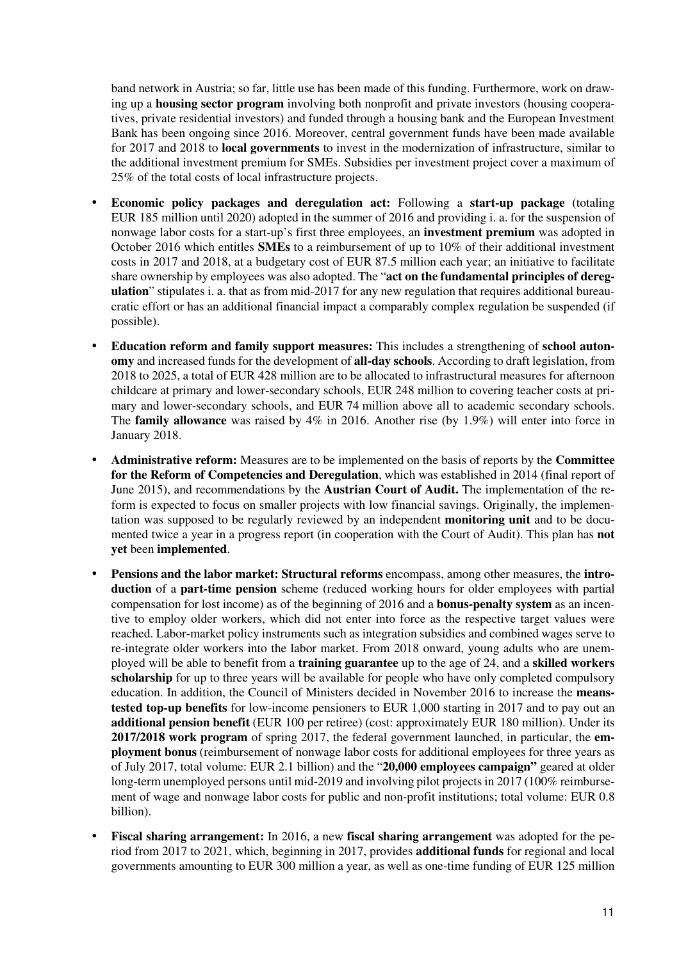band network in Austria; so far, little use has been made of this funding. Furthermore, work on drawing up a **housing sector program** involving both nonprofit and private investors (housing cooperatives, private residential investors) and funded through a housing bank and the European Investment Bank has been ongoing since 2016. Moreover, central government funds have been made available for 2017 and 2018 to **local governments** to invest in the modernization of infrastructure, similar to the additional investment premium for SMEs. Subsidies per investment project cover a maximum of 25% of the total costs of local infrastructure projects.

- **Economic policy packages and deregulation act:** Following a **start-up package** (totaling EUR 185 million until 2020) adopted in the summer of 2016 and providing i. a. for the suspension of nonwage labor costs for a start-up's first three employees, an **investment premium** was adopted in October 2016 which entitles **SMEs** to a reimbursement of up to 10% of their additional investment costs in 2017 and 2018, at a budgetary cost of EUR 87.5 million each year; an initiative to facilitate share ownership by employees was also adopted. The "**act on the fundamental principles of deregulation**" stipulates i. a. that as from mid-2017 for any new regulation that requires additional bureaucratic effort or has an additional financial impact a comparably complex regulation be suspended (if possible).
- **Education reform and family support measures:** This includes a strengthening of **school autonomy** and increased funds for the development of **all-day schools**. According to draft legislation, from 2018 to 2025, a total of EUR 428 million are to be allocated to infrastructural measures for afternoon childcare at primary and lower-secondary schools, EUR 248 million to covering teacher costs at primary and lower-secondary schools, and EUR 74 million above all to academic secondary schools. The **family allowance** was raised by 4% in 2016. Another rise (by 1.9%) will enter into force in January 2018.
- **Administrative reform:** Measures are to be implemented on the basis of reports by the **Committee for the Reform of Competencies and Deregulation**, which was established in 2014 (final report of June 2015), and recommendations by the **Austrian Court of Audit.** The implementation of the reform is expected to focus on smaller projects with low financial savings. Originally, the implementation was supposed to be regularly reviewed by an independent **monitoring unit** and to be documented twice a year in a progress report (in cooperation with the Court of Audit). This plan has **not yet** been **implemented**.
- **Pensions and the labor market: Structural reforms** encompass, among other measures, the **introduction** of a **part-time pension** scheme (reduced working hours for older employees with partial compensation for lost income) as of the beginning of 2016 and a **bonus-penalty system** as an incentive to employ older workers, which did not enter into force as the respective target values were reached. Labor-market policy instruments such as integration subsidies and combined wages serve to re-integrate older workers into the labor market. From 2018 onward, young adults who are unemployed will be able to benefit from a **training guarantee** up to the age of 24, and a **skilled workers scholarship** for up to three years will be available for people who have only completed compulsory education. In addition, the Council of Ministers decided in November 2016 to increase the **meanstested top-up benefits** for low-income pensioners to EUR 1,000 starting in 2017 and to pay out an **additional pension benefit** (EUR 100 per retiree) (cost: approximately EUR 180 million). Under its **2017/2018 work program** of spring 2017, the federal government launched, in particular, the **employment bonus** (reimbursement of nonwage labor costs for additional employees for three years as of July 2017, total volume: EUR 2.1 billion) and the "**20,000 employees campaign"** geared at older long-term unemployed persons until mid-2019 and involving pilot projects in 2017 (100% reimbursement of wage and nonwage labor costs for public and non-profit institutions; total volume: EUR 0.8 billion).
- **Fiscal sharing arrangement:** In 2016, a new **fiscal sharing arrangement** was adopted for the period from 2017 to 2021, which, beginning in 2017, provides **additional funds** for regional and local governments amounting to EUR 300 million a year, as well as one-time funding of EUR 125 million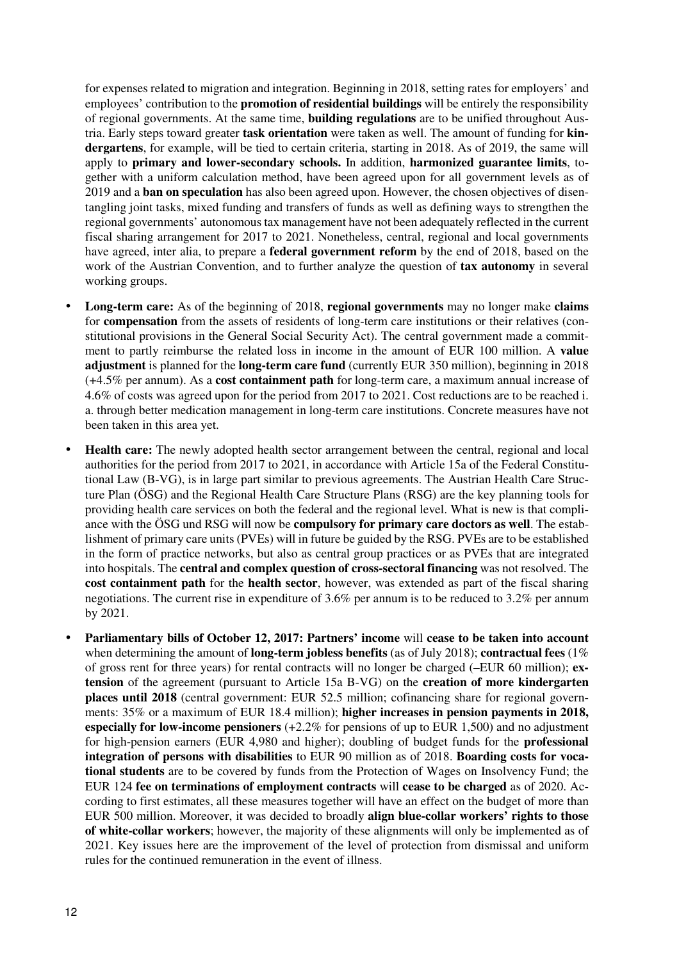for expenses related to migration and integration. Beginning in 2018, setting rates for employers' and employees' contribution to the **promotion of residential buildings** will be entirely the responsibility of regional governments. At the same time, **building regulations** are to be unified throughout Austria. Early steps toward greater **task orientation** were taken as well. The amount of funding for **kindergartens**, for example, will be tied to certain criteria, starting in 2018. As of 2019, the same will apply to **primary and lower-secondary schools.** In addition, **harmonized guarantee limits**, together with a uniform calculation method, have been agreed upon for all government levels as of 2019 and a **ban on speculation** has also been agreed upon. However, the chosen objectives of disentangling joint tasks, mixed funding and transfers of funds as well as defining ways to strengthen the regional governments' autonomous tax management have not been adequately reflected in the current fiscal sharing arrangement for 2017 to 2021. Nonetheless, central, regional and local governments have agreed, inter alia, to prepare a **federal government reform** by the end of 2018, based on the work of the Austrian Convention, and to further analyze the question of **tax autonomy** in several working groups.

- **Long-term care:** As of the beginning of 2018, **regional governments** may no longer make **claims** for **compensation** from the assets of residents of long-term care institutions or their relatives (constitutional provisions in the General Social Security Act). The central government made a commitment to partly reimburse the related loss in income in the amount of EUR 100 million. A **value adjustment** is planned for the **long-term care fund** (currently EUR 350 million), beginning in 2018 (+4.5% per annum). As a **cost containment path** for long-term care, a maximum annual increase of 4.6% of costs was agreed upon for the period from 2017 to 2021. Cost reductions are to be reached i. a. through better medication management in long-term care institutions. Concrete measures have not been taken in this area yet.
- **Health care:** The newly adopted health sector arrangement between the central, regional and local authorities for the period from 2017 to 2021, in accordance with Article 15a of the Federal Constitutional Law (B-VG), is in large part similar to previous agreements. The Austrian Health Care Structure Plan (ÖSG) and the Regional Health Care Structure Plans (RSG) are the key planning tools for providing health care services on both the federal and the regional level. What is new is that compliance with the ÖSG und RSG will now be **compulsory for primary care doctors as well**. The establishment of primary care units (PVEs) will in future be guided by the RSG. PVEs are to be established in the form of practice networks, but also as central group practices or as PVEs that are integrated into hospitals. The **central and complex question of cross-sectoral financing** was not resolved. The **cost containment path** for the **health sector**, however, was extended as part of the fiscal sharing negotiations. The current rise in expenditure of 3.6% per annum is to be reduced to 3.2% per annum by 2021.
- **Parliamentary bills of October 12, 2017: Partners' income** will **cease to be taken into account** when determining the amount of **long-term jobless benefits** (as of July 2018); **contractual fees** (1% of gross rent for three years) for rental contracts will no longer be charged (–EUR 60 million); **extension** of the agreement (pursuant to Article 15a B-VG) on the **creation of more kindergarten places until 2018** (central government: EUR 52.5 million; cofinancing share for regional governments: 35% or a maximum of EUR 18.4 million); **higher increases in pension payments in 2018, especially for low-income pensioners** (+2.2% for pensions of up to EUR 1,500) and no adjustment for high-pension earners (EUR 4,980 and higher); doubling of budget funds for the **professional integration of persons with disabilities** to EUR 90 million as of 2018. **Boarding costs for vocational students** are to be covered by funds from the Protection of Wages on Insolvency Fund; the EUR 124 **fee on terminations of employment contracts** will **cease to be charged** as of 2020. According to first estimates, all these measures together will have an effect on the budget of more than EUR 500 million. Moreover, it was decided to broadly **align blue-collar workers' rights to those of white-collar workers**; however, the majority of these alignments will only be implemented as of 2021. Key issues here are the improvement of the level of protection from dismissal and uniform rules for the continued remuneration in the event of illness.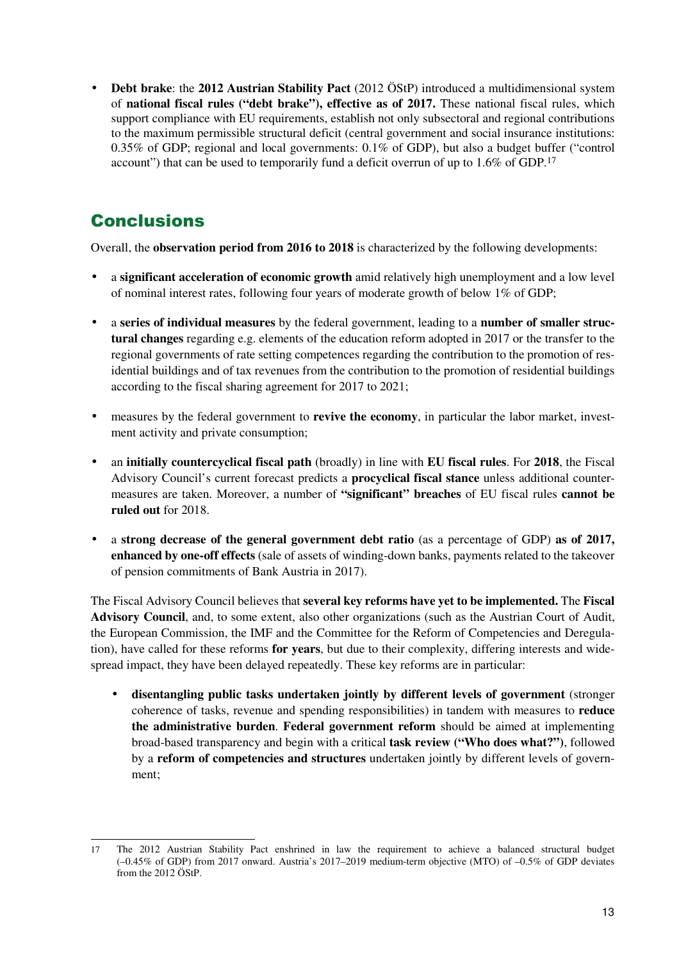• **Debt brake**: the **2012 Austrian Stability Pact** (2012 ÖStP) introduced a multidimensional system of **national fiscal rules ("debt brake"), effective as of 2017.** These national fiscal rules, which support compliance with EU requirements, establish not only subsectoral and regional contributions to the maximum permissible structural deficit (central government and social insurance institutions: 0.35% of GDP; regional and local governments: 0.1% of GDP), but also a budget buffer ("control account") that can be used to temporarily fund a deficit overrun of up to 1.6% of GDP.<sup>17</sup>

# **Conclusions**

Overall, the **observation period from 2016 to 2018** is characterized by the following developments:

- a **significant acceleration of economic growth** amid relatively high unemployment and a low level of nominal interest rates, following four years of moderate growth of below 1% of GDP;
- a **series of individual measures** by the federal government, leading to a **number of smaller structural changes** regarding e.g. elements of the education reform adopted in 2017 or the transfer to the regional governments of rate setting competences regarding the contribution to the promotion of residential buildings and of tax revenues from the contribution to the promotion of residential buildings according to the fiscal sharing agreement for 2017 to 2021;
- measures by the federal government to **revive the economy**, in particular the labor market, investment activity and private consumption;
- an **initially countercyclical fiscal path** (broadly) in line with **EU fiscal rules**. For **2018**, the Fiscal Advisory Council's current forecast predicts a **procyclical fiscal stance** unless additional countermeasures are taken. Moreover, a number of **"significant" breaches** of EU fiscal rules **cannot be ruled out** for 2018.
- a **strong decrease of the general government debt ratio** (as a percentage of GDP) **as of 2017, enhanced by one-off effects** (sale of assets of winding-down banks, payments related to the takeover of pension commitments of Bank Austria in 2017).

The Fiscal Advisory Council believes that **several key reforms have yet to be implemented.** The **Fiscal Advisory Council**, and, to some extent, also other organizations (such as the Austrian Court of Audit, the European Commission, the IMF and the Committee for the Reform of Competencies and Deregulation), have called for these reforms **for years**, but due to their complexity, differing interests and widespread impact, they have been delayed repeatedly. These key reforms are in particular:

• **disentangling public tasks undertaken jointly by different levels of government** (stronger coherence of tasks, revenue and spending responsibilities) in tandem with measures to **reduce the administrative burden**. **Federal government reform** should be aimed at implementing broad-based transparency and begin with a critical **task review ("Who does what?")**, followed by a **reform of competencies and structures** undertaken jointly by different levels of government;

 $\overline{a}$ 17 The 2012 Austrian Stability Pact enshrined in law the requirement to achieve a balanced structural budget (–0.45% of GDP) from 2017 onward. Austria's 2017–2019 medium-term objective (MTO) of –0.5% of GDP deviates from the 2012 ÖStP.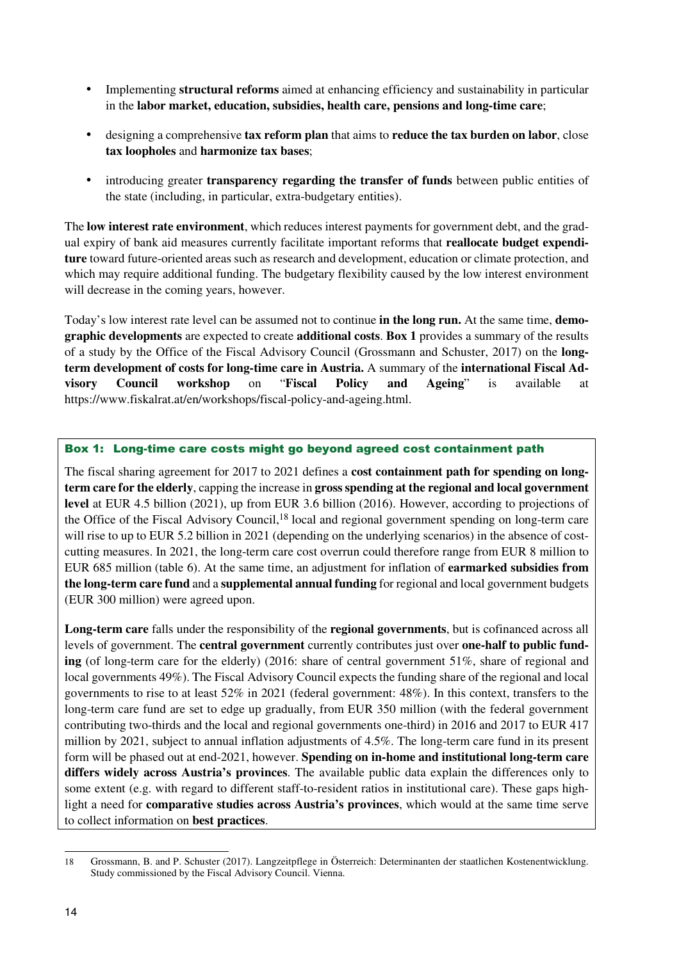- Implementing **structural reforms** aimed at enhancing efficiency and sustainability in particular in the **labor market, education, subsidies, health care, pensions and long-time care**;
- designing a comprehensive **tax reform plan** that aims to **reduce the tax burden on labor**, close **tax loopholes** and **harmonize tax bases**;
- introducing greater **transparency regarding the transfer of funds** between public entities of the state (including, in particular, extra-budgetary entities).

The **low interest rate environment**, which reduces interest payments for government debt, and the gradual expiry of bank aid measures currently facilitate important reforms that **reallocate budget expenditure** toward future-oriented areas such as research and development, education or climate protection, and which may require additional funding. The budgetary flexibility caused by the low interest environment will decrease in the coming years, however.

Today's low interest rate level can be assumed not to continue **in the long run.** At the same time, **demographic developments** are expected to create **additional costs**. **Box 1** provides a summary of the results of a study by the Office of the Fiscal Advisory Council (Grossmann and Schuster, 2017) on the **longterm development of costs for long-time care in Austria.** A summary of the **international Fiscal Advisory Council workshop** on "**Fiscal Policy and Ageing**" is available at https://www.fiskalrat.at/en/workshops/fiscal-policy-and-ageing.html.

### Box 1: Long-time care costs might go beyond agreed cost containment path

The fiscal sharing agreement for 2017 to 2021 defines a **cost containment path for spending on longterm care for the elderly**, capping the increase in **gross spending at the regional and local government level** at EUR 4.5 billion (2021), up from EUR 3.6 billion (2016). However, according to projections of the Office of the Fiscal Advisory Council,18 local and regional government spending on long-term care will rise to up to EUR 5.2 billion in 2021 (depending on the underlying scenarios) in the absence of costcutting measures. In 2021, the long-term care cost overrun could therefore range from EUR 8 million to EUR 685 million (table 6). At the same time, an adjustment for inflation of **earmarked subsidies from the long-term care fund** and a **supplemental annual funding** for regional and local government budgets (EUR 300 million) were agreed upon.

**Long-term care** falls under the responsibility of the **regional governments**, but is cofinanced across all levels of government. The **central government** currently contributes just over **one-half to public funding** (of long-term care for the elderly) (2016: share of central government 51%, share of regional and local governments 49%). The Fiscal Advisory Council expects the funding share of the regional and local governments to rise to at least 52% in 2021 (federal government: 48%). In this context, transfers to the long-term care fund are set to edge up gradually, from EUR 350 million (with the federal government contributing two-thirds and the local and regional governments one-third) in 2016 and 2017 to EUR 417 million by 2021, subject to annual inflation adjustments of 4.5%. The long-term care fund in its present form will be phased out at end-2021, however. **Spending on in-home and institutional long-term care differs widely across Austria's provinces**. The available public data explain the differences only to some extent (e.g. with regard to different staff-to-resident ratios in institutional care). These gaps highlight a need for **comparative studies across Austria's provinces**, which would at the same time serve to collect information on **best practices**.

 $\overline{a}$ 18 Grossmann, B. and P. Schuster (2017). Langzeitpflege in Österreich: Determinanten der staatlichen Kostenentwicklung. Study commissioned by the Fiscal Advisory Council. Vienna.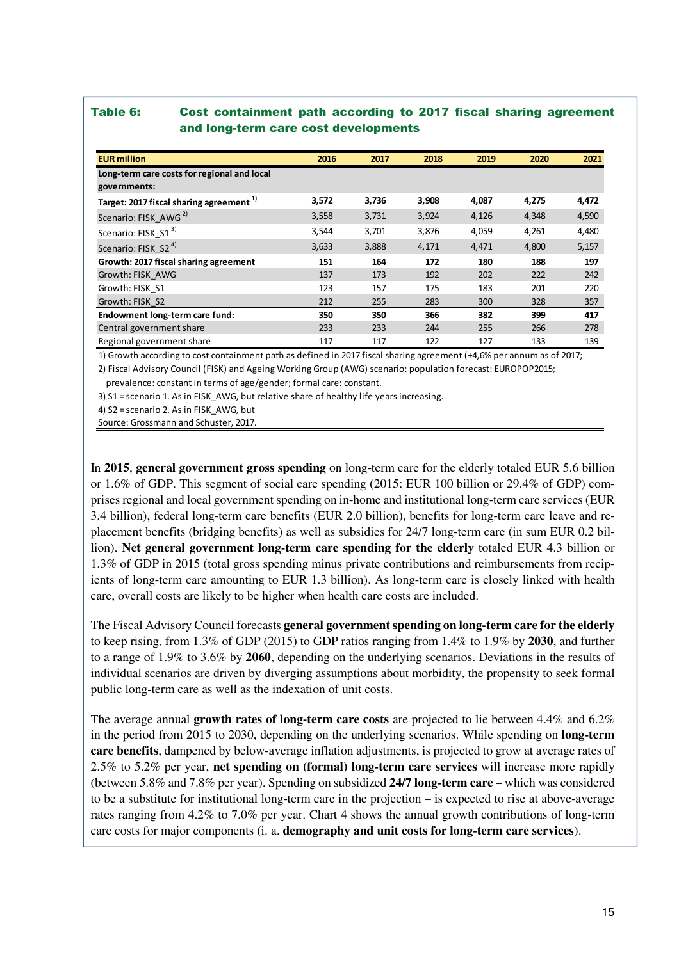### Table 6: Cost containment path according to 2017 fiscal sharing agreement and long-term care cost developments

| <b>EUR million</b>                                  | 2016  | 2017  | 2018  | 2019  | 2020  | 2021  |
|-----------------------------------------------------|-------|-------|-------|-------|-------|-------|
| Long-term care costs for regional and local         |       |       |       |       |       |       |
| governments:                                        |       |       |       |       |       |       |
| Target: 2017 fiscal sharing agreement <sup>1)</sup> | 3,572 | 3,736 | 3,908 | 4,087 | 4,275 | 4,472 |
| Scenario: FISK AWG <sup>2)</sup>                    | 3,558 | 3,731 | 3,924 | 4,126 | 4,348 | 4,590 |
| Scenario: FISK_S1 <sup>3)</sup>                     | 3,544 | 3,701 | 3,876 | 4,059 | 4,261 | 4,480 |
| Scenario: FISK_S2 <sup>4)</sup>                     | 3,633 | 3,888 | 4,171 | 4,471 | 4,800 | 5,157 |
| Growth: 2017 fiscal sharing agreement               | 151   | 164   | 172   | 180   | 188   | 197   |
| Growth: FISK AWG                                    | 137   | 173   | 192   | 202   | 222   | 242   |
| Growth: FISK S1                                     | 123   | 157   | 175   | 183   | 201   | 220   |
| Growth: FISK S2                                     | 212   | 255   | 283   | 300   | 328   | 357   |
| Endowment long-term care fund:                      | 350   | 350   | 366   | 382   | 399   | 417   |
| Central government share                            | 233   | 233   | 244   | 255   | 266   | 278   |
| Regional government share                           | 117   | 117   | 122   | 127   | 133   | 139   |

1) Growth according to cost containment path as defined in 2017 fiscal sharing agreement (+4,6% per annum as of 2017;

2) Fiscal Advisory Council (FISK) and Ageing Working Group (AWG) scenario: population forecast: EUROPOP2015;

prevalence: constant in terms of age/gender; formal care: constant.

3) S1 = scenario 1. As in FISK AWG, but relative share of healthy life years increasing.

4) S2 = scenario 2. As in FISK\_AWG, but

Source: Grossmann and Schuster, 2017.

In **2015**, **general government gross spending** on long-term care for the elderly totaled EUR 5.6 billion or 1.6% of GDP. This segment of social care spending (2015: EUR 100 billion or 29.4% of GDP) comprises regional and local government spending on in-home and institutional long-term care services (EUR 3.4 billion), federal long-term care benefits (EUR 2.0 billion), benefits for long-term care leave and replacement benefits (bridging benefits) as well as subsidies for 24/7 long-term care (in sum EUR 0.2 billion). **Net general government long-term care spending for the elderly** totaled EUR 4.3 billion or 1.3% of GDP in 2015 (total gross spending minus private contributions and reimbursements from recipients of long-term care amounting to EUR 1.3 billion). As long-term care is closely linked with health care, overall costs are likely to be higher when health care costs are included.

The Fiscal Advisory Council forecasts **general government spending on long-term care for the elderly** to keep rising, from 1.3% of GDP (2015) to GDP ratios ranging from 1.4% to 1.9% by **2030**, and further to a range of 1.9% to 3.6% by **2060**, depending on the underlying scenarios. Deviations in the results of individual scenarios are driven by diverging assumptions about morbidity, the propensity to seek formal public long-term care as well as the indexation of unit costs.

The average annual **growth rates of long-term care costs** are projected to lie between 4.4% and 6.2% in the period from 2015 to 2030, depending on the underlying scenarios. While spending on **long-term care benefits**, dampened by below-average inflation adjustments, is projected to grow at average rates of 2.5% to 5.2% per year, **net spending on (formal) long-term care services** will increase more rapidly (between 5.8% and 7.8% per year). Spending on subsidized **24/7 long-term care** – which was considered to be a substitute for institutional long-term care in the projection – is expected to rise at above-average rates ranging from 4.2% to 7.0% per year. Chart 4 shows the annual growth contributions of long-term care costs for major components (i. a. **demography and unit costs for long-term care services**).